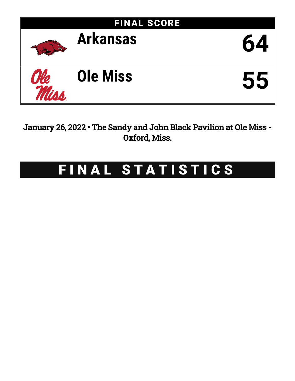

January 26, 2022 • The Sandy and John Black Pavilion at Ole Miss - Oxford, Miss.

# FINAL STATISTICS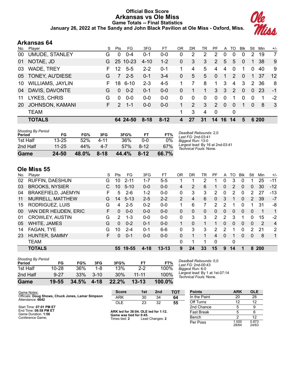# **Official Box Score Arkansas vs Ole Miss Game Totals -- Final Statistics January 26, 2022 at The Sandy and John Black Pavilion at Ole Miss - Oxford, Miss.**



# **Arkansas 64**

| No. | Player                  | S  | Pts           | FG        | 3FG      | FТ       | OR             | <b>DR</b> | TR       | PF           | A        | TO.           | <b>B</b> lk  | Stl      | Min   | $+/-$          |
|-----|-------------------------|----|---------------|-----------|----------|----------|----------------|-----------|----------|--------------|----------|---------------|--------------|----------|-------|----------------|
| 00  | <b>UMUDE, STANLEY</b>   | G  | 0             | $0 - 4$   | $0 - 1$  | $0 - 0$  | 0              | 2         | 2        | 2            | 0        | 0             | $\Omega$     | 2        | 19    | $\overline{7}$ |
| 01  | NOTAE, JD               | G  | 25            | $10 - 23$ | $4 - 10$ | $1 - 2$  | 0              | 3         | 3        | 2            | 5        | 5             | $\Omega$     | 1        | 38    | 9              |
| 03  | <b>WADE, TREY</b>       | F. | 12            | $5 - 5$   | $2 - 2$  | $0 - 1$  |                | 4         | 5        | 4            | 4        | $\Omega$      |              | $\Omega$ | 40    | 9              |
| 05  | TONEY, AU'DIESE         | G  | 7             | $2 - 5$   | $0 - 1$  | $3 - 4$  | $\mathbf{0}$   | 5         | 5        | $\mathbf{0}$ | 1        | 2             | $\Omega$     | 1.       | 37    | 12             |
| 10  | <b>WILLIAMS, JAYLIN</b> | F. | 18            | $6 - 10$  | $2 - 3$  | $4 - 5$  |                | 7         | 8        | 1            | 3        | 4             | 3            | 2        | 36    | 8              |
| 04  | DAVIS, DAVONTE          | G  | $\Omega$      | $0 - 2$   | $0 - 1$  | $0 - 0$  | $\Omega$       | 1         | 1        | 3            | 3        | $\mathcal{P}$ | $\Omega$     | $\Omega$ | -23   | $-1$           |
| 11  | LYKES, CHRIS            | G  | $\Omega$      | $0 - 0$   | $0 - 0$  | $0 - 0$  | $\Omega$       | 0         | $\Omega$ | $\Omega$     | $\Omega$ | 1             | $\Omega$     | $\Omega$ | -1    | $-2$           |
| 20  | <b>JOHNSON, KAMANI</b>  | F. | $\mathcal{P}$ | $1 - 1$   | $0 - 0$  | $0 - 0$  | 1              | 2         | 3        | 2            | $\Omega$ | $\Omega$      | $\mathbf{1}$ | $\Omega$ | -8    | -3             |
|     | <b>TEAM</b>             |    |               |           |          |          | 1              | 3         | 4        | $\mathbf 0$  |          | $\mathbf{0}$  |              |          |       |                |
|     | <b>TOTALS</b>           |    |               | 64 24-50  | $8 - 18$ | $8 - 12$ | $\overline{4}$ | 27        | 31       | 14           | 16       | 14            | 5            |          | 6 200 |                |
|     |                         |    |               |           |          |          |                |           |          |              |          |               |              |          |       |                |

| Game                                | 24-50     | 48.0% | $8 - 18$ | 44.4% | $8 - 12$ | 66.7% |          |
|-------------------------------------|-----------|-------|----------|-------|----------|-------|----------|
| 2nd Half                            | $11 - 25$ | 44%   | 4-7      | 57%   | 8-12     | 67%   | La<br>Тe |
| 1st Half                            | $13 - 25$ | 52%   | 4-11     | 36%   | ი-ი      | 0%    | Bi       |
| <b>Shooting By Period</b><br>Period | FG        | FG%   | 3FG      | 3FG%  | FT       | FT%   | Dε<br>La |

*Deadball Rebounds:* 2,0 *Last FG:* 2nd-03:41 *Biggest Run:* 13-0 *Largest lead:* By 16 at 2nd-03:41 *Technical Fouls:* None.

# **Ole Miss 55**

| No. | Plaver                 | S  | Pts           | FG       | 3FG     | FT        | 0 <sub>R</sub> | DR       | TR           | PF             | A            | TO            | <b>B</b> lk | Stl | Min        | $+/-$          |
|-----|------------------------|----|---------------|----------|---------|-----------|----------------|----------|--------------|----------------|--------------|---------------|-------------|-----|------------|----------------|
| 02  | <b>RUFFIN, DAESHUN</b> | G  | 10            | $2 - 11$ | $1 - 7$ | $5 - 5$   |                |          | 2            |                | 0            | 3             | 0           |     | 25         | $-11$          |
| 03  | <b>BROOKS, NYSIER</b>  |    | 10            | $5 - 10$ | $0 - 0$ | $0 - 0$   | 4              | 2        | 6            |                | 0            | 2             | 0           | 0   | 30         | $-12$          |
| 04  | BRAKEFIELD, JAEMYN     | F  | 5             | $2-6$    | $1 - 2$ | $0 - 0$   | 0              | 3        | 3            | 2              | 0            | $\mathcal{P}$ | 0           | 2   | 27         | $-13$          |
| 11  | MURRELL, MATTHEW       | G  | 14            | $5 - 13$ | $2 - 5$ | $2 - 2$   | 2              | 4        | 6            | $\Omega$       | 3            | 1             | $\Omega$    | 2   | 39         | $-7$           |
| 15  | RODRIGUEZ, LUIS        | G  | 4             | $2 - 5$  | $0 - 2$ | $0 - 0$   |                | 6        |              | 2              | 2            |               | 0           |     | 31         | -8             |
| 00  | VAN DER HEIJDEN, ERIC  | F. | 0             | $0 - 0$  | $0 - 0$ | $0 - 0$   | 0              | 0        | $\mathbf{0}$ | 0              | $\mathbf{0}$ | 0             | 0           | 0   |            | 1              |
| 01  | <b>CROWLEY, AUSTIN</b> | G  | $\mathcal{P}$ | $1 - 3$  | $0 - 0$ | $0 - 0$   | 0              | 3        | 3            | $\overline{2}$ | 2            | 3             |             | 0   | 15         | $-2$           |
| 05  | WHITE, JAMES           | G  | 0             | $0 - 2$  | $0 - 1$ | $0 - 0$   |                | $\Omega$ | 1            |                | 0            | $\Omega$      | 0           | 0   | 2          | $\overline{4}$ |
| 14  | <b>FAGAN, TYE</b>      | G  | 10            | $2 - 4$  | $0 - 1$ | $6-6$     | 0              | 3        | 3            | 2              | 2            | 1             | 0           | 2   | 21         | 2              |
| 23  | HUNTER, SAMMY          | F. | 0             | $0 - 1$  | $0 - 0$ | $0 - 0$   | $\Omega$       | 1        | 1            | 4              | $\Omega$     | 1             | 0           | 0   | 8          | $\mathbf{1}$   |
|     | <b>TEAM</b>            |    |               |          |         |           | 0              |          |              | $\Omega$       |              | 0             |             |     |            |                |
|     | <b>TOTALS</b>          |    |               | 55 19-55 | 4-18    | $13 - 13$ | 9              | 24       | 33           | 15             | 9            | 14            | 1           | 8   | <b>200</b> |                |
|     |                        |    |               |          |         |           |                |          |              |                |              |               |             |     |            |                |

| <b>Shooting By Period</b> |           |       |          |       |           |           |
|---------------------------|-----------|-------|----------|-------|-----------|-----------|
| Period                    | FG        | FG%   | 3FG      | 3FG%  | FТ        | FT%       |
| 1st Half                  | $10 - 28$ | 36%   | 1-8      | 13%   | $2-2$     | 100%      |
| 2nd Half                  | $9 - 27$  | 33%   | $3 - 10$ | 30%   | 11-11     | 100%      |
| Game                      | $19 - 55$ | 34.5% | $4 - 18$ | 22.2% | $13 - 13$ | $100.0\%$ |

*Deadball Rebounds:* 0,0 *Last FG:* 2nd-00:43 *Biggest Run:* 6-0 *Largest lead:* By 1 at 1st-07:14 *Technical Fouls:* None.

| Game Notes:                                                           | <b>Score</b>                             | 1st | 2 <sub>nd</sub> | TOT | <b>Points</b>     | <b>ARK</b>     | <b>OLE</b>     |
|-----------------------------------------------------------------------|------------------------------------------|-----|-----------------|-----|-------------------|----------------|----------------|
| Officials: Doug Shows, Chuck Jones, Lamar Simpson<br>Attendance: 6642 | <b>ARK</b>                               | 30  | 34              | 64  | In the Paint      | 20             | 28             |
|                                                                       | <b>OLE</b>                               | 23  | 32              | 55  | Off Turns         |                | 12             |
| Start Time: 07:01 PM ET                                               |                                          |     |                 |     | 2nd Chance        |                | 9              |
| End Time: 08:58 PM ET<br>Game Duration: 1:56                          | ARK led for 38:04. OLE led for 1:12.     |     |                 |     | <b>Fast Break</b> |                |                |
| Conference Game:                                                      | Game was tied for 0:45.<br>Times tied: 2 |     | Lead Changes: 2 |     | Bench             |                | 12             |
|                                                                       |                                          |     |                 |     | Per Poss          | 1.000<br>28/64 | 0.873<br>24/63 |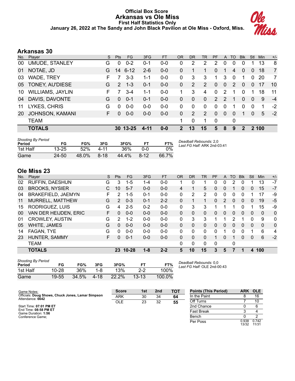## **Official Box Score Arkansas vs Ole Miss First Half Statistics Only January 26, 2022 at The Sandy and John Black Pavilion at Ole Miss - Oxford, Miss.**



# **Arkansas 30**

| No. | Player                  | S. | Pts           | <b>FG</b> | 3FG      | <b>FT</b> | <b>OR</b>     | <b>DR</b> | <b>TR</b>             | PF            | A             | TO            | <b>Blk</b>     | Stl      | <b>Min</b>  | $+/-$          |
|-----|-------------------------|----|---------------|-----------|----------|-----------|---------------|-----------|-----------------------|---------------|---------------|---------------|----------------|----------|-------------|----------------|
| 00  | <b>UMUDE, STANLEY</b>   | G  | 0             | $0 - 2$   | $0 - 1$  | $0 - 0$   | 0             | 2         | 2                     | 2             | 0             | 0             | 0              |          | 13          | 8              |
| 01  | NOTAE, JD               | G  | 14            | $6 - 12$  | $2 - 6$  | $0-0$     | 0             | 1         | 1                     | 0             |               | 4             | 0              | 0        | 18          | $\overline{7}$ |
| 03  | <b>WADE, TREY</b>       | F. |               | $3 - 3$   | $1 - 1$  | 0-0       | $\Omega$      | 3         | 3                     |               | 3             | $\Omega$      |                | 0        | 20          | 7              |
| 05  | TONEY, AU'DIESE         | G  | $\mathcal{P}$ | $1 - 3$   | 0-1      | $0 - 0$   | 0             | 2         | $\overline{2}$        | $\Omega$      | $\Omega$      | $\mathcal{P}$ | $\Omega$       | $\Omega$ | 17          | 10             |
| 10  | <b>WILLIAMS, JAYLIN</b> | F  |               | $3 - 4$   | 1-1      | $0-0$     | 1.            | 3         | 4                     | $\Omega$      | 2             | 1             | $\Omega$       | 1        | 18          | 11             |
| 04  | DAVIS, DAVONTE          | G  | $\Omega$      | $0 - 1$   | $0 - 1$  | $0 - 0$   | 0             | $\Omega$  | $\Omega$              | $\mathcal{P}$ | $\mathcal{P}$ | 1             | $\Omega$       | $\Omega$ | 9           | $-4$           |
| 11  | LYKES, CHRIS            | G  | $\Omega$      | $0 - 0$   | $0-0$    | $0-0$     | 0             | 0         | 0                     | $\Omega$      | $\mathbf{0}$  | 1             | 0              | $\Omega$ | 1           | $-2$           |
| 20  | <b>JOHNSON, KAMANI</b>  | F. | <sup>0</sup>  | $0 - 0$   | $0 - 0$  | $0 - 0$   | 0             | 2         | $\mathbf{2}^{\prime}$ | $\Omega$      | $\mathbf{0}$  | 0             | 1              | $\Omega$ | 5           | $-2$           |
|     | <b>TEAM</b>             |    |               |           |          |           | 1.            | 0         | 1                     | $\mathbf 0$   |               | 0             |                |          |             |                |
|     | <b>TOTALS</b>           |    |               | 30 13-25  | $4 - 11$ | $0 - 0$   | $\mathcal{P}$ | 13        | 15                    | 5             | 8             | 9             | $\mathfrak{p}$ |          | <b>2100</b> |                |
|     |                         |    |               |           |          |           |               |           |                       |               |               |               |                |          |             |                |

| <b>Shooting By Period</b><br>Period | FG        | FG%   | 3FG      | 3FG%  |          | FT%   | Deadball Rebounds: 2,0<br>Last FG Half: ARK 2nd-03:41 |
|-------------------------------------|-----------|-------|----------|-------|----------|-------|-------------------------------------------------------|
| 1st Half                            | $13 - 25$ | 52%   | $4 - 11$ | 36%   | 0-0      | $0\%$ |                                                       |
| Game                                | 24-50     | 48.0% | $8-18$   | 44.4% | $8 - 12$ | 66.7% |                                                       |

# **Ole Miss 23**

| No. | Player                 | S  | <b>Pts</b>    | FG        | 3FG     | <b>FT</b> | <b>OR</b> | <b>DR</b> | TR       | PF       | A        | TO       | <b>Blk</b> | Stl      | Min          | $+/-$        |
|-----|------------------------|----|---------------|-----------|---------|-----------|-----------|-----------|----------|----------|----------|----------|------------|----------|--------------|--------------|
| 02  | <b>RUFFIN, DAESHUN</b> | G  | 3             | $1 - 5$   | 1-4     | $0-0$     |           | 0         |          | 0        | 0        | 2        | 0          |          | 13           | $-7$         |
| 03  | <b>BROOKS, NYSIER</b>  | С  | 10            | $5 - 7$   | $0 - 0$ | $0 - 0$   | 4         |           | 5        | 0        | 0        |          | 0          | 0        | 15           | $-7$         |
| 04  | BRAKEFIELD, JAEMYN     | F  | 2             | $1 - 5$   | $0 - 1$ | $0 - 0$   | 0         | 2         | 2        | 0        | 0        | 0        | 0          |          | 17           | -9           |
| 11  | MURRELL, MATTHEW       | G  | $\mathcal{P}$ | $0 - 3$   | $0 - 1$ | $2 - 2$   | 0         |           |          | 0        | 2        | $\Omega$ | 0          | 0        | 19           | $-5$         |
| 15  | RODRIGUEZ, LUIS        | G  | 4             | $2 - 5$   | $0 - 2$ | $0 - 0$   | 0         | 3         | 3        |          |          |          | 0          |          | 15           | -9           |
| 00  | VAN DER HEIJDEN, ERIC  | F. | $\Omega$      | $0 - 0$   | $0 - 0$ | $0 - 0$   | 0         | 0         | $\Omega$ | 0        | 0        | 0        | 0          | 0        | $\mathbf{0}$ | $\mathbf{0}$ |
| 01  | <b>CROWLEY, AUSTIN</b> | G  | $\mathcal{P}$ | $1 - 2$   | $0 - 0$ | $0 - 0$   | 0         | 3         | 3        |          |          | 2        |            | 0        | 9            | 0            |
| 05  | <b>WHITE, JAMES</b>    | G  | $\Omega$      | $0 - 0$   | $0 - 0$ | $0 - 0$   | 0         | $\Omega$  | $\Omega$ | 0        | $\Omega$ | $\Omega$ | 0          | $\Omega$ | $\mathbf{0}$ | $\Omega$     |
| 14  | FAGAN, TYE             | G  | 0             | $0 - 0$   | $0 - 0$ | $0 - 0$   | 0         | 0         | $\Omega$ | 0        |          | 0        | 0          |          | 6            | 4            |
| 23  | HUNTER, SAMMY          | F  | 0             | $0 - 1$   | $0 - 0$ | $0 - 0$   | $\Omega$  | $\Omega$  | 0        |          | 0        |          | 0          | $\Omega$ | 6            | $-2$         |
|     | <b>TEAM</b>            |    |               |           |         |           | 0         | 0         | 0        | $\Omega$ |          | 0        |            |          |              |              |
|     | <b>TOTALS</b>          |    | 23            | $10 - 28$ | $1 - 8$ | $2 - 2$   | 5         | 10        | 15       | 3        | 5        |          |            | 4        | 100          |              |
|     |                        |    |               |           |         |           |           |           |          |          |          |          |            |          |              |              |

| <b>Shooting By Period</b> |           |       |      |       |           |        |
|---------------------------|-----------|-------|------|-------|-----------|--------|
| Period                    | FG        | FG%   | 3FG  | 3FG%  | FТ        | FT%    |
| 1st Half                  | $10 - 28$ | 36%   | 1-8  | 13%   | $2-2$     | 100%   |
| Game                      | $19 - 55$ | 34.5% | 4-18 | 22.2% | $13 - 13$ | 100.0% |

*Deadball Rebounds:* 0,0 *Last FG Half:* OLE 2nd-00:43

| Game Notes:                                                           | <b>Score</b> | 1st | 2 <sub>nd</sub> | TOT | <b>Points (This Period)</b> | ARK OLE        |                |
|-----------------------------------------------------------------------|--------------|-----|-----------------|-----|-----------------------------|----------------|----------------|
| Officials: Doug Shows, Chuck Jones, Lamar Simpson<br>Attendance: 6642 | ARK          | 30  | 34              | 64  | In the Paint                |                | 16             |
|                                                                       | OLE          | 23  | 32              | 55  | Off Turns                   |                |                |
| Start Time: 07:01 PM ET                                               |              |     |                 |     | 2nd Chance                  |                |                |
| End Time: 08:58 PM ET<br>Game Duration: 1:56                          |              |     |                 |     | <b>Fast Break</b>           |                |                |
| Conference Game:                                                      |              |     |                 |     | Bench                       |                |                |
|                                                                       |              |     |                 |     | Per Poss                    | 0.938<br>13/32 | 0.742<br>11/31 |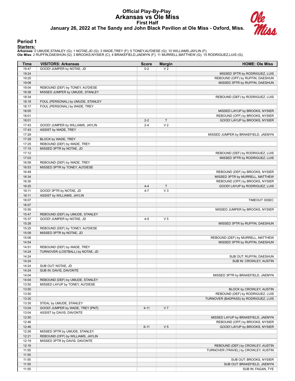# **Official Play-By-Play Arkansas vs Ole Miss First Half January 26, 2022 at The Sandy and John Black Pavilion at Ole Miss - Oxford, Miss.**



#### **Period 1**

<mark>Startersː</mark><br>Arkansas: 0 UMUDE,STANLEY (G); 1 NOTAE,JD (G); 3 WADE,TREY (F); 5 TONEY,AU'DIESE (G); 10 WILLIAMS,JAYLIN (F);<br>**Ole Miss**: 2 RUFFIN,DAESHUN (G); 3 BROOKS,NYSIER (C); 4 BRAKEFIELD,JAEMYN (F); 11 MURRELL,MATTHEW (

| Time           | <b>VISITORS: Arkansas</b>         | <b>Score</b> | <b>Margin</b>  | <b>HOME: Ole Miss</b>                                            |
|----------------|-----------------------------------|--------------|----------------|------------------------------------------------------------------|
| 19:47          | GOOD! JUMPER by NOTAE, JD         | $0 - 2$      | V <sub>2</sub> |                                                                  |
| 19:24          |                                   |              |                | MISSED 3PTR by RODRIGUEZ, LUIS                                   |
| 19:20          |                                   |              |                | REBOUND (OFF) by RUFFIN, DAESHUN                                 |
| 19:08          |                                   |              |                | MISSED 3PTR by RUFFIN, DAESHUN                                   |
| 19:04          | REBOUND (DEF) by TONEY, AU'DIESE  |              |                |                                                                  |
| 18:38          | MISSED JUMPER by UMUDE, STANLEY   |              |                |                                                                  |
| 18:34          |                                   |              |                | REBOUND (DEF) by RODRIGUEZ, LUIS                                 |
| 18:18          | FOUL (PERSONAL) by UMUDE, STANLEY |              |                |                                                                  |
| 18:17          | FOUL (PERSONAL) by WADE, TREY     |              |                |                                                                  |
| 18:05<br>18:01 |                                   |              |                | MISSED LAYUP by BROOKS, NYSIER                                   |
| 18:01          |                                   | $2 - 2$      | $\mathsf{T}$   | REBOUND (OFF) by BROOKS, NYSIER<br>GOOD! LAYUP by BROOKS, NYSIER |
| 17:43          | GOOD! JUMPER by WILLIAMS, JAYLIN  | $2 - 4$      | V <sub>2</sub> |                                                                  |
| 17:43          | ASSIST by WADE, TREY              |              |                |                                                                  |
| 17:29          |                                   |              |                | MISSED JUMPER by BRAKEFIELD, JAEMYN                              |
| 17:29          | BLOCK by WADE, TREY               |              |                |                                                                  |
| 17:25          | REBOUND (DEF) by WADE, TREY       |              |                |                                                                  |
| 17:15          | MISSED 3PTR by NOTAE, JD          |              |                |                                                                  |
| 17:12          |                                   |              |                | REBOUND (DEF) by RODRIGUEZ, LUIS                                 |
| 17:03          |                                   |              |                | MISSED 3PTR by RODRIGUEZ, LUIS                                   |
| 16:59          | REBOUND (DEF) by WADE, TREY       |              |                |                                                                  |
| 16:53          | MISSED 3PTR by TONEY, AU'DIESE    |              |                |                                                                  |
| 16:49          |                                   |              |                | REBOUND (DEF) by BROOKS, NYSIER                                  |
| 16:34          |                                   |              |                | MISSED 3PTR by MURRELL, MATTHEW                                  |
| 16:30          |                                   |              |                | REBOUND (OFF) by BROOKS, NYSIER                                  |
| 16:25          |                                   | $4 - 4$      | $\mathsf T$    | GOOD! LAYUP by RODRIGUEZ, LUIS                                   |
| 16:11          | GOOD! 3PTR by NOTAE, JD           | $4 - 7$      | $V_3$          |                                                                  |
| 16:11          | ASSIST by WILLIAMS, JAYLIN        |              |                |                                                                  |
| 16:07          |                                   |              |                | TIMEOUT 30SEC                                                    |
| 16:07          |                                   |              |                |                                                                  |
| 15:50          |                                   |              |                | MISSED JUMPER by BROOKS, NYSIER                                  |
| 15:47          | REBOUND (DEF) by UMUDE, STANLEY   |              |                |                                                                  |
| 15:37          | GOOD! JUMPER by NOTAE, JD         | $4 - 9$      | V <sub>5</sub> |                                                                  |
| 15:28          |                                   |              |                | MISSED 3PTR by RUFFIN, DAESHUN                                   |
| 15:25          | REBOUND (DEF) by TONEY, AU'DIESE  |              |                |                                                                  |
| 15:09          | MISSED 3PTR by NOTAE, JD          |              |                |                                                                  |
| 15:06          |                                   |              |                | REBOUND (DEF) by MURRELL, MATTHEW                                |
| 14:54          |                                   |              |                | MISSED 3PTR by RUFFIN, DAESHUN                                   |
| 14:51          | REBOUND (DEF) by WADE, TREY       |              |                |                                                                  |
| 14:24<br>14:24 | TURNOVER (LOSTBALL) by NOTAE, JD  |              |                |                                                                  |
| 14:24          |                                   |              |                | SUB OUT: RUFFIN, DAESHUN<br>SUB IN: CROWLEY, AUSTIN              |
| 14:24          | SUB OUT: NOTAE, JD                |              |                |                                                                  |
| 14:24          | SUB IN: DAVIS, DAVONTE            |              |                |                                                                  |
| 14:04          |                                   |              |                | MISSED 3PTR by BRAKEFIELD, JAEMYN                                |
| 14:04          | REBOUND (DEF) by UMUDE, STANLEY   |              |                |                                                                  |
| 13:50          | MISSED LAYUP by TONEY, AU'DIESE   |              |                |                                                                  |
| 13:50          |                                   |              |                | BLOCK by CROWLEY, AUSTIN                                         |
| 13:50          |                                   |              |                | REBOUND (DEF) by RODRIGUEZ, LUIS                                 |
| 13:30          |                                   |              |                | TURNOVER (BADPASS) by RODRIGUEZ, LUIS                            |
| 13:30          | STEAL by UMUDE, STANLEY           |              |                |                                                                  |
| 13:04          | GOOD! JUMPER by WADE, TREY [PNT]  | $4 - 11$     | V <sub>7</sub> |                                                                  |
| 13:04          | ASSIST by DAVIS, DAVONTE          |              |                |                                                                  |
| 12:50          |                                   |              |                | MISSED LAYUP by BRAKEFIELD, JAEMYN                               |
| 12:46          |                                   |              |                | REBOUND (OFF) by BROOKS, NYSIER                                  |
| 12:46          |                                   | $6 - 11$     | V <sub>5</sub> | GOOD! LAYUP by BROOKS, NYSIER                                    |
| 12:26          | MISSED 3PTR by UMUDE, STANLEY     |              |                |                                                                  |
| 12:21          | REBOUND (OFF) by WILLIAMS, JAYLIN |              |                |                                                                  |
| 12:19          | MISSED 3PTR by DAVIS, DAVONTE     |              |                |                                                                  |
| 12:16          |                                   |              |                | REBOUND (DEF) by CROWLEY, AUSTIN                                 |
| 11:55          |                                   |              |                | TURNOVER (TRAVEL) by CROWLEY, AUSTIN                             |
| 11:55          |                                   |              |                |                                                                  |
| 11:55          |                                   |              |                | SUB OUT: BROOKS, NYSIER                                          |
| 11:55          |                                   |              |                | SUB OUT: BRAKEFIELD, JAEMYN                                      |
| 11:55          |                                   |              |                | SUB IN: FAGAN, TYE                                               |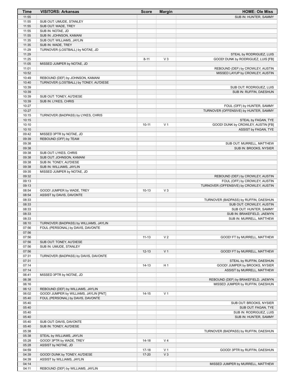| Time           | <b>VISITORS: Arkansas</b>                              | <b>Score</b> | <b>Margin</b>  | <b>HOME: Ole Miss</b>                                             |
|----------------|--------------------------------------------------------|--------------|----------------|-------------------------------------------------------------------|
| 11:55          |                                                        |              |                | SUB IN: HUNTER, SAMMY                                             |
| 11:55          | SUB OUT: UMUDE, STANLEY                                |              |                |                                                                   |
| 11:55          | SUB OUT: WADE, TREY                                    |              |                |                                                                   |
| 11:55          | SUB IN: NOTAE, JD                                      |              |                |                                                                   |
| 11:55          | SUB IN: JOHNSON, KAMANI                                |              |                |                                                                   |
| 11:35          | SUB OUT: WILLIAMS, JAYLIN                              |              |                |                                                                   |
| 11:35<br>11:29 | SUB IN: WADE, TREY<br>TURNOVER (LOSTBALL) by NOTAE, JD |              |                |                                                                   |
| 11:29          |                                                        |              |                | STEAL by RODRIGUEZ, LUIS                                          |
| 11:25          |                                                        | $8 - 11$     | $V_3$          | GOOD! DUNK by RODRIGUEZ, LUIS [FB]                                |
| 11:05          | MISSED JUMPER by NOTAE, JD                             |              |                |                                                                   |
| 11:01          |                                                        |              |                | REBOUND (DEF) by CROWLEY, AUSTIN                                  |
| 10:52          |                                                        |              |                | MISSED LAYUP by CROWLEY, AUSTIN                                   |
| 10:49          | REBOUND (DEF) by JOHNSON, KAMANI                       |              |                |                                                                   |
| 10:40          | TURNOVER (LOSTBALL) by TONEY, AU'DIESE                 |              |                |                                                                   |
| 10:39          |                                                        |              |                | SUB OUT: RODRIGUEZ, LUIS                                          |
| 10:39          |                                                        |              |                | SUB IN: RUFFIN, DAESHUN                                           |
| 10:39          | SUB OUT: TONEY, AU'DIESE                               |              |                |                                                                   |
| 10:39          | SUB IN: LYKES, CHRIS                                   |              |                |                                                                   |
| 10:27          |                                                        |              |                | FOUL (OFF) by HUNTER, SAMMY                                       |
| 10:27          |                                                        |              |                | TURNOVER (OFFENSIVE) by HUNTER, SAMMY                             |
| 10:15          | TURNOVER (BADPASS) by LYKES, CHRIS                     |              |                |                                                                   |
| 10:15<br>10:10 |                                                        | $10 - 11$    | V <sub>1</sub> | STEAL by FAGAN, TYE<br>GOOD! DUNK by CROWLEY, AUSTIN [FB]         |
| 10:10          |                                                        |              |                | ASSIST by FAGAN, TYE                                              |
| 09:42          | MISSED 3PTR by NOTAE, JD                               |              |                |                                                                   |
| 09:39          | REBOUND (OFF) by TEAM                                  |              |                |                                                                   |
| 09:38          |                                                        |              |                | SUB OUT: MURRELL, MATTHEW                                         |
| 09:38          |                                                        |              |                | SUB IN: BROOKS, NYSIER                                            |
| 09:38          | SUB OUT: LYKES, CHRIS                                  |              |                |                                                                   |
| 09:38          | SUB OUT: JOHNSON, KAMANI                               |              |                |                                                                   |
| 09:38          | SUB IN: TONEY, AU'DIESE                                |              |                |                                                                   |
| 09:38          | SUB IN: WILLIAMS, JAYLIN                               |              |                |                                                                   |
| 09:35          | MISSED JUMPER by NOTAE, JD                             |              |                |                                                                   |
| 09:32          |                                                        |              |                | REBOUND (DEF) by CROWLEY, AUSTIN                                  |
| 09:13          |                                                        |              |                | FOUL (OFF) by CROWLEY, AUSTIN                                     |
| 09:13          |                                                        |              |                | TURNOVER (OFFENSIVE) by CROWLEY, AUSTIN                           |
| 08:54          | GOOD! JUMPER by WADE, TREY                             | $10-13$      | $V_3$          |                                                                   |
| 08:54          | ASSIST by DAVIS, DAVONTE                               |              |                |                                                                   |
| 08:33<br>08:33 |                                                        |              |                | TURNOVER (BADPASS) by RUFFIN, DAESHUN<br>SUB OUT: CROWLEY, AUSTIN |
| 08:33          |                                                        |              |                | SUB OUT: HUNTER, SAMMY                                            |
| 08:33          |                                                        |              |                | SUB IN: BRAKEFIELD, JAEMYN                                        |
| 08:33          |                                                        |              |                | SUB IN: MURRELL, MATTHEW                                          |
| 08:10          | TURNOVER (BADPASS) by WILLIAMS, JAYLIN                 |              |                |                                                                   |
| 07:56          | FOUL (PERSONAL) by DAVIS, DAVONTE                      |              |                |                                                                   |
| 07:56          |                                                        |              |                |                                                                   |
| 07:56          |                                                        | $11 - 13$    | V <sub>2</sub> | GOOD! FT by MURRELL, MATTHEW                                      |
| 07:56          | SUB OUT: TONEY, AU'DIESE                               |              |                |                                                                   |
| 07:56          | SUB IN: UMUDE, STANLEY                                 |              |                |                                                                   |
| 07:56          |                                                        | $12 - 13$    | V <sub>1</sub> | GOOD! FT by MURRELL, MATTHEW                                      |
| 07:31          | TURNOVER (BADPASS) by DAVIS, DAVONTE                   |              |                |                                                                   |
| 07:31          |                                                        |              |                | STEAL by RUFFIN, DAESHUN                                          |
| 07:14          |                                                        | $14 - 13$    | H <sub>1</sub> | GOOD! JUMPER by BROOKS, NYSIER                                    |
| 07:14          |                                                        |              |                | ASSIST by MURRELL, MATTHEW                                        |
| 06:41<br>06:38 | MISSED 3PTR by NOTAE, JD                               |              |                | REBOUND (DEF) by BRAKEFIELD, JAEMYN                               |
| 06:16          |                                                        |              |                | MISSED JUMPER by RUFFIN, DAESHUN                                  |
| 06:12          | REBOUND (DEF) by WILLIAMS, JAYLIN                      |              |                |                                                                   |
| 06:02          | GOOD! JUMPER by WILLIAMS, JAYLIN [PNT]                 | $14 - 15$    | V <sub>1</sub> |                                                                   |
| 05:40          | FOUL (PERSONAL) by DAVIS, DAVONTE                      |              |                |                                                                   |
| 05:40          |                                                        |              |                | SUB OUT: BROOKS, NYSIER                                           |
| 05:40          |                                                        |              |                | SUB OUT: FAGAN, TYE                                               |
| 05:40          |                                                        |              |                | SUB IN: RODRIGUEZ, LUIS                                           |
| 05:40          |                                                        |              |                | SUB IN: HUNTER, SAMMY                                             |
| 05:40          | SUB OUT: DAVIS, DAVONTE                                |              |                |                                                                   |
| 05:40          | SUB IN: TONEY, AU'DIESE                                |              |                |                                                                   |
| 05:38          |                                                        |              |                | TURNOVER (BADPASS) by RUFFIN, DAESHUN                             |
| 05:38          | STEAL by WILLIAMS, JAYLIN                              |              |                |                                                                   |
| 05:28          | GOOD! 3PTR by WADE, TREY                               | $14 - 18$    | V <sub>4</sub> |                                                                   |
| 05:28          | ASSIST by NOTAE, JD                                    |              |                |                                                                   |
| 04:59          |                                                        | $17 - 18$    | V <sub>1</sub> | GOOD! 3PTR by RUFFIN, DAESHUN                                     |
| 04:39          | GOOD! DUNK by TONEY, AU'DIESE                          | $17 - 20$    | $V_3$          |                                                                   |
| 04:39          | ASSIST by WILLIAMS, JAYLIN                             |              |                |                                                                   |
| 04:14<br>04:11 | REBOUND (DEF) by WILLIAMS, JAYLIN                      |              |                | MISSED JUMPER by MURRELL, MATTHEW                                 |
|                |                                                        |              |                |                                                                   |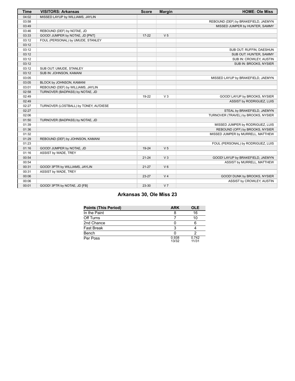| <b>Time</b> | <b>VISITORS: Arkansas</b>              | <b>Score</b> | <b>Margin</b>  | <b>HOME: Ole Miss</b>               |
|-------------|----------------------------------------|--------------|----------------|-------------------------------------|
| 04:02       | MISSED LAYUP by WILLIAMS, JAYLIN       |              |                |                                     |
| 03:58       |                                        |              |                | REBOUND (DEF) by BRAKEFIELD, JAEMYN |
| 03:49       |                                        |              |                | MISSED JUMPER by HUNTER, SAMMY      |
| 03:46       | REBOUND (DEF) by NOTAE, JD             |              |                |                                     |
| 03:33       | GOOD! JUMPER by NOTAE, JD [PNT]        | $17 - 22$    | V <sub>5</sub> |                                     |
| 03:12       | FOUL (PERSONAL) by UMUDE, STANLEY      |              |                |                                     |
| 03:12       |                                        |              |                |                                     |
| 03:12       |                                        |              |                | SUB OUT: RUFFIN, DAESHUN            |
| 03:12       |                                        |              |                | SUB OUT: HUNTER, SAMMY              |
| 03:12       |                                        |              |                | SUB IN: CROWLEY, AUSTIN             |
| 03:12       |                                        |              |                | SUB IN: BROOKS, NYSIER              |
| 03:12       | SUB OUT: UMUDE, STANLEY                |              |                |                                     |
| 03:12       | SUB IN: JOHNSON, KAMANI                |              |                |                                     |
| 03:05       |                                        |              |                | MISSED LAYUP by BRAKEFIELD, JAEMYN  |
| 03:05       | BLOCK by JOHNSON, KAMANI               |              |                |                                     |
| 03:01       | REBOUND (DEF) by WILLIAMS, JAYLIN      |              |                |                                     |
| 02:58       | TURNOVER (BADPASS) by NOTAE, JD        |              |                |                                     |
| 02:49       |                                        | 19-22        | V <sub>3</sub> | GOOD! LAYUP by BROOKS, NYSIER       |
| 02:49       |                                        |              |                | ASSIST by RODRIGUEZ, LUIS           |
| 02:27       | TURNOVER (LOSTBALL) by TONEY, AU'DIESE |              |                |                                     |
| 02:27       |                                        |              |                | STEAL by BRAKEFIELD, JAEMYN         |
| 02:06       |                                        |              |                | TURNOVER (TRAVEL) by BROOKS, NYSIER |
| 01:50       | TURNOVER (BADPASS) by NOTAE, JD        |              |                |                                     |
| 01:39       |                                        |              |                | MISSED JUMPER by RODRIGUEZ, LUIS    |
| 01:36       |                                        |              |                | REBOUND (OFF) by BROOKS, NYSIER     |
| 01:32       |                                        |              |                | MISSED JUMPER by MURRELL, MATTHEW   |
| 01:29       | REBOUND (DEF) by JOHNSON, KAMANI       |              |                |                                     |
| 01:23       |                                        |              |                | FOUL (PERSONAL) by RODRIGUEZ, LUIS  |
| 01:16       | GOOD! JUMPER by NOTAE, JD              | 19-24        | V <sub>5</sub> |                                     |
| 01:16       | ASSIST by WADE, TREY                   |              |                |                                     |
| 00:54       |                                        | $21 - 24$    | V <sub>3</sub> | GOOD! LAYUP by BRAKEFIELD, JAEMYN   |
| 00:54       |                                        |              |                | ASSIST by MURRELL, MATTHEW          |
| 00:31       | GOOD! 3PTR by WILLIAMS, JAYLIN         | $21 - 27$    | V <sub>6</sub> |                                     |
| 00:31       | ASSIST by WADE, TREY                   |              |                |                                     |
| 00:06       |                                        | 23-27        | V <sub>4</sub> | GOOD! DUNK by BROOKS, NYSIER        |
| 00:06       |                                        |              |                | ASSIST by CROWLEY, AUSTIN           |
| 00:01       | GOOD! 3PTR by NOTAE, JD [FB]           | 23-30        | V <sub>7</sub> |                                     |

# **Arkansas 30, Ole Miss 23**

| <b>Points (This Period)</b> | <b>ARK</b>     | <b>OLE</b>     |
|-----------------------------|----------------|----------------|
| In the Paint                |                | 16             |
| Off Turns                   |                | 10             |
| 2nd Chance                  |                |                |
| <b>Fast Break</b>           | 3              |                |
| Bench                       |                |                |
| Per Poss                    | 0.938<br>13/32 | 0.742<br>11/31 |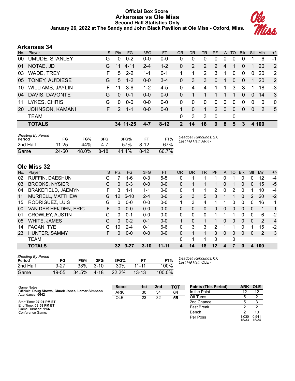## **Official Box Score Arkansas vs Ole Miss Second Half Statistics Only January 26, 2022 at The Sandy and John Black Pavilion at Ole Miss - Oxford, Miss.**



# **Arkansas 34**

| No. | Player                  | S. | <b>Pts</b>    | FG.      | 3FG     | <b>FT</b> | OR           | <b>DR</b> | TR                    | <b>PF</b> | A        | <b>TO</b> | <b>B</b> lk | Stl          | <b>Min</b> | $+/-$    |
|-----|-------------------------|----|---------------|----------|---------|-----------|--------------|-----------|-----------------------|-----------|----------|-----------|-------------|--------------|------------|----------|
| 00  | UMUDE, STANLEY          | G  | 0             | $0 - 2$  | $0 - 0$ | $0 - 0$   | 0            | 0         | 0                     | 0         | 0        | 0         | 0           |              | 6          | $-1$     |
| 01  | NOTAE, JD               | G  | 11            | $4 - 11$ | $2 - 4$ | $1 - 2$   | $\Omega$     | 2         | $\mathbf{2}^{\prime}$ | 2         | 4        |           | 0           |              | 20         | 2        |
| 03  | <b>WADE, TREY</b>       | F  | 5             | $2 - 2$  | 1-1     | $0 - 1$   |              | 1         | $\mathbf{2}$          | 3         | 1        | 0         | $\Omega$    | $\mathbf 0$  | 20         | 2        |
| 05  | TONEY, AU'DIESE         | G  | 5             | $1 - 2$  | $0 - 0$ | $3-4$     | $\mathbf{0}$ | 3         | 3                     | $\Omega$  |          | 0         | $\Omega$    |              | 20         | 2        |
| 10  | <b>WILLIAMS, JAYLIN</b> | F. | 11            | $3-6$    | $1 - 2$ | $4 - 5$   | $\Omega$     | 4         | 4                     | 1         |          | 3         | 3           |              | 18         | $-3$     |
| 04  | DAVIS, DAVONTE          | G  | $\Omega$      | $0 - 1$  | $0 - 0$ | $0 - 0$   | $\Omega$     |           |                       |           |          | 1         | $\Omega$    | $\Omega$     | 14         | 3        |
| 11  | LYKES, CHRIS            | G  | $\Omega$      | $0 - 0$  | $0-0$   | $0-0$     | $\Omega$     | 0         | $\Omega$              | $\Omega$  | $\Omega$ | $\Omega$  | $\Omega$    | $\Omega$     | $\Omega$   | $\Omega$ |
| 20  | <b>JOHNSON, KAMANI</b>  | F. | $\mathcal{P}$ | $1 - 1$  | $0 - 0$ | $0 - 0$   | 1            | 0         | 1                     | 2         | $\Omega$ | $\Omega$  | $\Omega$    | $\mathbf{0}$ | 2          | 5        |
|     | <b>TEAM</b>             |    |               |          |         |           | $\Omega$     | 3         | 3                     | 0         |          | 0         |             |              |            |          |
|     | <b>TOTALS</b>           |    |               | 34 11-25 | $4 - 7$ | $8 - 12$  | 2            | 14        | 16                    | 9         | 8        | 5         | 3           |              | 4 100      |          |

| <b>Shooting By Period</b><br>Period | FG    | FG%   | 3FG      | 3FG%  | FТ       | FT%   | Deadball Rebounds: 2,0<br>Last FG Half: ARK - |
|-------------------------------------|-------|-------|----------|-------|----------|-------|-----------------------------------------------|
| 2nd Half                            | 11-25 | 44%   | 4-7      | 57%   | $8 - 12$ | 67%   |                                               |
| Game                                | 24-50 | 48.0% | $8 - 18$ | 44.4% | $8 - 12$ | 66.7% |                                               |

# **Ole Miss 32**

| No. | Plaver                 | S  | <b>Pts</b>      | FG       | 3FG      | <b>FT</b> | <b>OR</b>      | <b>DR</b> | TR       | PF       | A            | TO | <b>B</b> lk  | Stl      | Min            | $+/-$          |
|-----|------------------------|----|-----------------|----------|----------|-----------|----------------|-----------|----------|----------|--------------|----|--------------|----------|----------------|----------------|
| 02  | RUFFIN, DAESHUN        | G  |                 | 1-6      | $0 - 3$  | $5 - 5$   | 0              |           |          |          | 0            |    | 0            | 0        | 12             | $-4$           |
| 03  | <b>BROOKS, NYSIER</b>  | С  | 0               | $0 - 3$  | $0 - 0$  | $0 - 0$   | 0              |           |          |          | 0            |    | 0            | 0        | 15             | $-5$           |
| 04  | BRAKEFIELD, JAEMYN     | F  | 3               | $1 - 1$  | 1-1      | $0 - 0$   | 0              |           |          | 2        | $\Omega$     | 2  | 0            |          | 10             | $-4$           |
| 11  | MURRELL, MATTHEW       | G  | 12              | $5 - 10$ | $2 - 4$  | $0 - 0$   | $\overline{2}$ | 3         | 5        | $\Omega$ | 1            | 1  | $\Omega$     | 2        | 20             | $-2$           |
| 15  | RODRIGUEZ, LUIS        | G  | 0               | $0 - 0$  | $0 - 0$  | $0 - 0$   | 1.             | 3         | 4        |          | 1            | 0  | 0            | $\Omega$ | 16             | 1              |
| 00  | VAN DER HEIJDEN, ERIC  | F. | $\Omega$        | $0 - 0$  | $0 - 0$  | $0 - 0$   | 0              | 0         | $\Omega$ | $\Omega$ | 0            | 0  | $\Omega$     | $\Omega$ | 1              | 1              |
| 01  | <b>CROWLEY, AUSTIN</b> | G  | $\Omega$        | $0 - 1$  | $0 - 0$  | $0 - 0$   | $\mathbf{0}$   | 0         | $\Omega$ |          |              |    | 0            | 0        | 6              | $-2$           |
| 05  | WHITE, JAMES           | G  | $\Omega$        | $0 - 2$  | $0 - 1$  | $0 - 0$   | $\mathbf 1$    | 0         |          |          | 0            | 0  | $\mathbf{0}$ | 0        | $\overline{2}$ | $\overline{4}$ |
| 14  | FAGAN, TYE             | G  | 10              | $2 - 4$  | $0 - 1$  | $6-6$     | 0              | 3         | 3        | 2        | 1            |    | 0            |          | 15             | $-2$           |
| 23  | HUNTER, SAMMY          | F  | 0               | $0 - 0$  | $0 - 0$  | $0 - 0$   | $\Omega$       | 1         | 1        | 3        | $\mathbf{0}$ | 0  | $\Omega$     | $\Omega$ | 2              | $\mathbf{3}$   |
|     | <b>TEAM</b>            |    |                 |          |          |           | 0              | 1         |          | $\Omega$ |              | 0  |              |          |                |                |
|     | <b>TOTALS</b>          |    | 32 <sub>2</sub> | $9 - 27$ | $3 - 10$ | $11 - 11$ | 4              | 14        | 18       | $12 \,$  | 4            | 7  | $\mathbf{0}$ | 4        | 100            |                |

| <b>Shooting By Period</b><br>Period | FG        | FG%   | 3FG      | 3FG%  |           | FT%    |
|-------------------------------------|-----------|-------|----------|-------|-----------|--------|
| 2nd Half                            | $9-27$    | 33%   | $3 - 10$ | 30%   | $11 - 11$ | 100%   |
| Game                                | $19 - 55$ | 34.5% | 4-18     | 22.2% | $13 - 13$ | 100.0% |

*Deadball Rebounds:* 0,0 *Last FG Half:* OLE -

| Game Notes:                                                           | <b>Score</b> | 1st | 2 <sub>nd</sub> | <b>TOT</b> | <b>Points (This Period)</b> | ARK OLE       |                |
|-----------------------------------------------------------------------|--------------|-----|-----------------|------------|-----------------------------|---------------|----------------|
| Officials: Doug Shows, Chuck Jones, Lamar Simpson<br>Attendance: 6642 | <b>ARK</b>   | 30  | 34              | 64         | In the Paint                |               | 12             |
|                                                                       | <b>OLE</b>   | 23  | 32              | 55         | Off Turns                   |               |                |
| Start Time: 07:01 PM ET                                               |              |     |                 |            | 2nd Chance                  |               |                |
| End Time: 08:58 PM ET<br>Game Duration: 1:56                          |              |     |                 |            | <b>Fast Break</b>           |               |                |
| Conference Game:                                                      |              |     |                 |            | Bench                       |               | 10             |
|                                                                       |              |     |                 |            | Per Poss                    | .030<br>15/33 | 0.941<br>15/34 |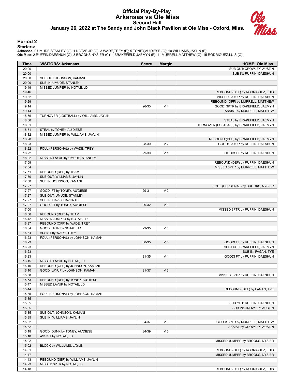# **Official Play-By-Play Arkansas vs Ole Miss Second Half January 26, 2022 at The Sandy and John Black Pavilion at Ole Miss - Oxford, Miss.**



#### **Period 2**

**Starters:**

**Arkansas**: 0 UMUDE,STANLEY (G); 1 NOTAE,JD (G); 3 WADE,TREY (F); 5 TONEY,AU'DIESE (G); 10 WILLIAMS,JAYLIN (F);<br>**Ole Miss**: 2 RUFFIN,DAESHUN (G); 3 BROOKS,NYSIER (C); 4 BRAKEFIELD,JAEMYN (F); 11 MURRELL,MATTHEW (G); 15 ROD

| Time           | <b>VISITORS: Arkansas</b>               | <b>Score</b> | <b>Margin</b>  | <b>HOME: Ole Miss</b>                     |
|----------------|-----------------------------------------|--------------|----------------|-------------------------------------------|
| 20:00          |                                         |              |                | SUB OUT: CROWLEY, AUSTIN                  |
| 20:00          |                                         |              |                | SUB IN: RUFFIN, DAESHUN                   |
| 20:00          | SUB OUT: JOHNSON, KAMANI                |              |                |                                           |
| 20:00          | SUB IN: UMUDE, STANLEY                  |              |                |                                           |
| 19:49          | MISSED JUMPER by NOTAE, JD              |              |                |                                           |
| 19:46          |                                         |              |                | REBOUND (DEF) by RODRIGUEZ, LUIS          |
| 19:32          |                                         |              |                | MISSED LAYUP by RUFFIN, DAESHUN           |
| 19:29          |                                         |              |                | REBOUND (OFF) by MURRELL, MATTHEW         |
| 19:14          |                                         | 26-30        | V <sub>4</sub> | GOOD! 3PTR by BRAKEFIELD, JAEMYN          |
| 19:14          |                                         |              |                | ASSIST by MURRELL, MATTHEW                |
| 18:56<br>18:56 | TURNOVER (LOSTBALL) by WILLIAMS, JAYLIN |              |                | STEAL by BRAKEFIELD, JAEMYN               |
| 18:51          |                                         |              |                | TURNOVER (LOSTBALL) by BRAKEFIELD, JAEMYN |
| 18:51          | STEAL by TONEY, AU'DIESE                |              |                |                                           |
| 18:32          | MISSED JUMPER by WILLIAMS, JAYLIN       |              |                |                                           |
| 18:28          |                                         |              |                | REBOUND (DEF) by BRAKEFIELD, JAEMYN       |
| 18:23          |                                         | 28-30        | V <sub>2</sub> | GOOD! LAYUP by RUFFIN, DAESHUN            |
| 18:22          | FOUL (PERSONAL) by WADE, TREY           |              |                |                                           |
| 18:22          |                                         | 29-30        | V <sub>1</sub> | GOOD! FT by RUFFIN, DAESHUN               |
| 18:02          | MISSED LAYUP by UMUDE, STANLEY          |              |                |                                           |
| 17:59          |                                         |              |                | REBOUND (DEF) by RUFFIN, DAESHUN          |
| 17:54          |                                         |              |                | MISSED 3PTR by MURRELL, MATTHEW           |
| 17:51          | REBOUND (DEF) by TEAM                   |              |                |                                           |
| 17:50          | SUB OUT: WILLIAMS, JAYLIN               |              |                |                                           |
| 17:50          | SUB IN: JOHNSON, KAMANI                 |              |                |                                           |
| 17:27          |                                         |              |                | FOUL (PERSONAL) by BROOKS, NYSIER         |
| 17:27          | GOOD! FT by TONEY, AU'DIESE             | 29-31        | V <sub>2</sub> |                                           |
| 17:27          | SUB OUT: UMUDE, STANLEY                 |              |                |                                           |
| 17:27          | SUB IN: DAVIS, DAVONTE                  |              |                |                                           |
| 17:27          | GOOD! FT by TONEY, AU'DIESE             | 29-32        | $V_3$          |                                           |
| 17:00          |                                         |              |                | MISSED 3PTR by RUFFIN, DAESHUN            |
| 16:56          | REBOUND (DEF) by TEAM                   |              |                |                                           |
| 16:42          | MISSED JUMPER by NOTAE, JD              |              |                |                                           |
| 16:37          | REBOUND (OFF) by WADE, TREY             |              |                |                                           |
| 16:34          | GOOD! 3PTR by NOTAE, JD                 | 29-35        | $V_6$          |                                           |
| 16:34          | ASSIST by WADE, TREY                    |              |                |                                           |
| 16:23          | FOUL (PERSONAL) by JOHNSON, KAMANI      |              |                |                                           |
| 16:23          |                                         | 30-35        | V <sub>5</sub> | GOOD! FT by RUFFIN, DAESHUN               |
| 16:23<br>16:23 |                                         |              |                | SUB OUT: BRAKEFIELD, JAEMYN               |
| 16:23          |                                         | 31-35        | V <sub>4</sub> | SUB IN: FAGAN, TYE                        |
| 16:15          | MISSED LAYUP by NOTAE, JD               |              |                | GOOD! FT by RUFFIN, DAESHUN               |
| 16:10          | REBOUND (OFF) by JOHNSON, KAMANI        |              |                |                                           |
| 16:10          | GOOD! LAYUP by JOHNSON, KAMANI          | 31-37        | $V_6$          |                                           |
| 15:58          |                                         |              |                | MISSED 3PTR by RUFFIN, DAESHUN            |
| 15:53          | REBOUND (DEF) by TONEY, AU'DIESE        |              |                |                                           |
| 15:47          | MISSED LAYUP by NOTAE, JD               |              |                |                                           |
| 15:44          |                                         |              |                | REBOUND (DEF) by FAGAN, TYE               |
| 15:35          | FOUL (PERSONAL) by JOHNSON, KAMANI      |              |                |                                           |
| 15:35          |                                         |              |                |                                           |
| 15:35          |                                         |              |                | SUB OUT: RUFFIN, DAESHUN                  |
| 15:35          |                                         |              |                | SUB IN: CROWLEY, AUSTIN                   |
| 15:35          | SUB OUT: JOHNSON, KAMANI                |              |                |                                           |
| 15:35          | SUB IN: WILLIAMS, JAYLIN                |              |                |                                           |
| 15:32          |                                         | 34-37        | $V_3$          | GOOD! 3PTR by MURRELL, MATTHEW            |
| 15:32          |                                         |              |                | ASSIST by CROWLEY, AUSTIN                 |
| 15:18          | GOOD! DUNK by TONEY, AU'DIESE           | 34-39        | V <sub>5</sub> |                                           |
| 15:18          | ASSIST by NOTAE, JD                     |              |                |                                           |
| 15:02          |                                         |              |                | MISSED JUMPER by BROOKS, NYSIER           |
| 15:02          | BLOCK by WILLIAMS, JAYLIN               |              |                |                                           |
| 14:51          |                                         |              |                | REBOUND (OFF) by RODRIGUEZ, LUIS          |
| 14:47          |                                         |              |                | MISSED JUMPER by BROOKS, NYSIER           |
| 14:43          | REBOUND (DEF) by WILLIAMS, JAYLIN       |              |                |                                           |
| 14:23          | MISSED 3PTR by NOTAE, JD                |              |                |                                           |
| 14:18          |                                         |              |                | REBOUND (DEF) by RODRIGUEZ, LUIS          |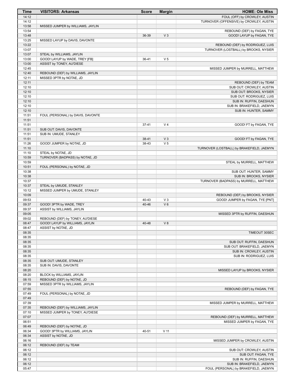| Time           | <b>VISITORS: Arkansas</b>         | <b>Score</b>   | <b>Margin</b>                    | <b>HOME: Ole Miss</b>                                    |
|----------------|-----------------------------------|----------------|----------------------------------|----------------------------------------------------------|
| 14:12          |                                   |                |                                  | FOUL (OFF) by CROWLEY, AUSTIN                            |
| 14:12          |                                   |                |                                  | TURNOVER (OFFENSIVE) by CROWLEY, AUSTIN                  |
| 13:58          | MISSED JUMPER by WILLIAMS, JAYLIN |                |                                  |                                                          |
| 13:54<br>13:48 |                                   | 36-39          | V <sub>3</sub>                   | REBOUND (DEF) by FAGAN, TYE<br>GOOD! LAYUP by FAGAN, TYE |
| 13:25          | MISSED LAYUP by DAVIS, DAVONTE    |                |                                  |                                                          |
| 13:22          |                                   |                |                                  | REBOUND (DEF) by RODRIGUEZ, LUIS                         |
| 13:07          |                                   |                |                                  | TURNOVER (LOSTBALL) by BROOKS, NYSIER                    |
| 13:07          | STEAL by WILLIAMS, JAYLIN         |                |                                  |                                                          |
| 13:00          | GOOD! LAYUP by WADE, TREY [FB]    | 36-41          | V <sub>5</sub>                   |                                                          |
| 13:00          | ASSIST by TONEY, AU'DIESE         |                |                                  |                                                          |
| 12:45          |                                   |                |                                  | MISSED JUMPER by MURRELL, MATTHEW                        |
| 12:40          | REBOUND (DEF) by WILLIAMS, JAYLIN |                |                                  |                                                          |
| 12:11          | MISSED 3PTR by NOTAE, JD          |                |                                  |                                                          |
| 12:11          |                                   |                |                                  | REBOUND (DEF) by TEAM<br>SUB OUT: CROWLEY, AUSTIN        |
| 12:10<br>12:10 |                                   |                |                                  | SUB OUT: BROOKS, NYSIER                                  |
| 12:10          |                                   |                |                                  | SUB OUT: RODRIGUEZ, LUIS                                 |
| 12:10          |                                   |                |                                  | SUB IN: RUFFIN, DAESHUN                                  |
| 12:10          |                                   |                |                                  | SUB IN: BRAKEFIELD, JAEMYN                               |
| 12:10          |                                   |                |                                  | SUB IN: HUNTER, SAMMY                                    |
| 11:51          | FOUL (PERSONAL) by DAVIS, DAVONTE |                |                                  |                                                          |
| 11:51          |                                   |                |                                  |                                                          |
| 11:51          |                                   | $37 - 41$      | V <sub>4</sub>                   | GOOD! FT by FAGAN, TYE                                   |
| 11:51          | SUB OUT: DAVIS, DAVONTE           |                |                                  |                                                          |
| 11:51          | SUB IN: UMUDE, STANLEY            |                |                                  |                                                          |
| 11:51<br>11:26 | GOOD! JUMPER by NOTAE, JD         | 38-41<br>38-43 | V <sub>3</sub><br>V <sub>5</sub> | GOOD! FT by FAGAN, TYE                                   |
| 11:10          |                                   |                |                                  | TURNOVER (LOSTBALL) by BRAKEFIELD, JAEMYN                |
| 11:10          | STEAL by NOTAE, JD                |                |                                  |                                                          |
| 10:59          | TURNOVER (BADPASS) by NOTAE, JD   |                |                                  |                                                          |
| 10:59          |                                   |                |                                  | STEAL by MURRELL, MATTHEW                                |
| 10:51          | FOUL (PERSONAL) by NOTAE, JD      |                |                                  |                                                          |
| 10:38          |                                   |                |                                  | SUB OUT: HUNTER, SAMMY                                   |
| 10:38          |                                   |                |                                  | SUB IN: BROOKS, NYSIER                                   |
| 10:37          |                                   |                |                                  | TURNOVER (BADPASS) by MURRELL, MATTHEW                   |
| 10:37<br>10:12 | STEAL by UMUDE, STANLEY           |                |                                  |                                                          |
| 10:09          | MISSED JUMPER by UMUDE, STANLEY   |                |                                  | REBOUND (DEF) by BROOKS, NYSIER                          |
| 09:53          |                                   | 40-43          | $V_3$                            | GOOD! JUMPER by FAGAN, TYE [PNT]                         |
| 09:37          | GOOD! 3PTR by WADE, TREY          | 40-46          | $V_6$                            |                                                          |
| 09:37          | ASSIST by WILLIAMS, JAYLIN        |                |                                  |                                                          |
| 09:05          |                                   |                |                                  | MISSED 3PTR by RUFFIN, DAESHUN                           |
| 09:02          | REBOUND (DEF) by TONEY, AU'DIESE  |                |                                  |                                                          |
| 08:47          | GOOD! LAYUP by WILLIAMS, JAYLIN   | 40-48          | V8                               |                                                          |
| 08:47          | ASSIST by NOTAE, JD               |                |                                  |                                                          |
| 08:35          |                                   |                |                                  | TIMEOUT 30SEC                                            |
| 08:35<br>08:35 |                                   |                |                                  | SUB OUT: RUFFIN, DAESHUN                                 |
| 08:35          |                                   |                |                                  | SUB OUT: BRAKEFIELD, JAEMYN                              |
| 08:35          |                                   |                |                                  | SUB IN: CROWLEY, AUSTIN                                  |
| 08:35          |                                   |                |                                  | SUB IN: RODRIGUEZ, LUIS                                  |
| 08:35          | SUB OUT: UMUDE, STANLEY           |                |                                  |                                                          |
| 08:35          | SUB IN: DAVIS, DAVONTE            |                |                                  |                                                          |
| 08:20          |                                   |                |                                  | MISSED LAYUP by BROOKS, NYSIER                           |
| 08:20          | BLOCK by WILLIAMS, JAYLIN         |                |                                  |                                                          |
| 08:15          | REBOUND (DEF) by NOTAE, JD        |                |                                  |                                                          |
| 07:59          | MISSED 3PTR by WILLIAMS, JAYLIN   |                |                                  |                                                          |
| 07:55<br>07:49 | FOUL (PERSONAL) by NOTAE, JD      |                |                                  | REBOUND (DEF) by FAGAN, TYE                              |
| 07:49          |                                   |                |                                  |                                                          |
| 07:39          |                                   |                |                                  | MISSED JUMPER by MURRELL, MATTHEW                        |
| 07:35          | REBOUND (DEF) by WILLIAMS, JAYLIN |                |                                  |                                                          |
| 07:10          | MISSED JUMPER by TONEY, AU'DIESE  |                |                                  |                                                          |
| 07:07          |                                   |                |                                  | REBOUND (DEF) by MURRELL, MATTHEW                        |
| 06:51          |                                   |                |                                  | MISSED JUMPER by FAGAN, TYE                              |
| 06:49          | REBOUND (DEF) by NOTAE, JD        |                |                                  |                                                          |
| 06:34          | GOOD! 3PTR by WILLIAMS, JAYLIN    | 40-51          | $V$ 11                           |                                                          |
| 06:34<br>06:16 | ASSIST by NOTAE, JD               |                |                                  |                                                          |
| 06:12          | REBOUND (DEF) by TEAM             |                |                                  | MISSED JUMPER by CROWLEY, AUSTIN                         |
| 06:12          |                                   |                |                                  | SUB OUT: CROWLEY, AUSTIN                                 |
| 06:12          |                                   |                |                                  | SUB OUT: FAGAN, TYE                                      |
| 06:12          |                                   |                |                                  | SUB IN: RUFFIN, DAESHUN                                  |
| 06:12          |                                   |                |                                  | SUB IN: BRAKEFIELD, JAEMYN                               |
| 05:47          |                                   |                |                                  | FOUL (PERSONAL) by BRAKEFIELD, JAEMYN                    |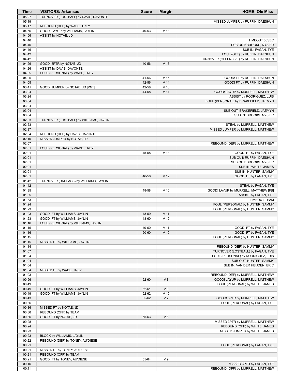| Time           | <b>VISITORS: Arkansas</b>                              | <b>Score</b>   | <b>Margin</b>                      | <b>HOME: Ole Miss</b>                                        |
|----------------|--------------------------------------------------------|----------------|------------------------------------|--------------------------------------------------------------|
| 05:27          | TURNOVER (LOSTBALL) by DAVIS, DAVONTE                  |                |                                    |                                                              |
| 05:19          |                                                        |                |                                    | MISSED JUMPER by RUFFIN, DAESHUN                             |
| 05:17          | REBOUND (DEF) by WADE, TREY                            |                | V <sub>13</sub>                    |                                                              |
| 04:56<br>04:56 | GOOD! LAYUP by WILLIAMS, JAYLIN<br>ASSIST by NOTAE, JD | 40-53          |                                    |                                                              |
| 04:46          |                                                        |                |                                    | TIMEOUT 30SEC                                                |
| 04:46          |                                                        |                |                                    | SUB OUT: BROOKS, NYSIER                                      |
| 04:46          |                                                        |                |                                    | SUB IN: FAGAN, TYE                                           |
| 04:42          |                                                        |                |                                    | FOUL (OFF) by RUFFIN, DAESHUN                                |
| 04:42          |                                                        |                |                                    | TURNOVER (OFFENSIVE) by RUFFIN, DAESHUN                      |
| 04:26          | GOOD! 3PTR by NOTAE, JD                                | 40-56          | V <sub>16</sub>                    |                                                              |
| 04:26          | ASSIST by DAVIS, DAVONTE                               |                |                                    |                                                              |
| 04:05<br>04:05 | FOUL (PERSONAL) by WADE, TREY                          |                |                                    |                                                              |
| 04:05          |                                                        | 41-56<br>42-56 | V <sub>15</sub><br>V <sub>14</sub> | GOOD! FT by RUFFIN, DAESHUN<br>GOOD! FT by RUFFIN, DAESHUN   |
| 03:41          | GOOD! JUMPER by NOTAE, JD [PNT]                        | 42-58          | V <sub>16</sub>                    |                                                              |
| 03:24          |                                                        | 44-58          | V <sub>14</sub>                    | GOOD! LAYUP by MURRELL, MATTHEW                              |
| 03:24          |                                                        |                |                                    | ASSIST by RODRIGUEZ, LUIS                                    |
| 03:04          |                                                        |                |                                    | FOUL (PERSONAL) by BRAKEFIELD, JAEMYN                        |
| 03:04          |                                                        |                |                                    |                                                              |
| 03:04          |                                                        |                |                                    | SUB OUT: BRAKEFIELD, JAEMYN                                  |
| 03:04<br>02:53 | TURNOVER (LOSTBALL) by WILLIAMS, JAYLIN                |                |                                    | SUB IN: BROOKS, NYSIER                                       |
| 02:53          |                                                        |                |                                    | STEAL by MURRELL, MATTHEW                                    |
| 02:37          |                                                        |                |                                    | MISSED JUMPER by MURRELL, MATTHEW                            |
| 02:34          | REBOUND (DEF) by DAVIS, DAVONTE                        |                |                                    |                                                              |
| 02:10          | MISSED JUMPER by NOTAE, JD                             |                |                                    |                                                              |
| 02:07          |                                                        |                |                                    | REBOUND (DEF) by MURRELL, MATTHEW                            |
| 02:01          | FOUL (PERSONAL) by WADE, TREY                          |                |                                    |                                                              |
| 02:01          |                                                        | 45-58          | V <sub>13</sub>                    | GOOD! FT by FAGAN, TYE                                       |
| 02:01<br>02:01 |                                                        |                |                                    | SUB OUT: RUFFIN, DAESHUN<br>SUB OUT: BROOKS, NYSIER          |
| 02:01          |                                                        |                |                                    | SUB IN: WHITE, JAMES                                         |
| 02:01          |                                                        |                |                                    | SUB IN: HUNTER, SAMMY                                        |
| 02:01          |                                                        | 46-58          | V <sub>12</sub>                    | GOOD! FT by FAGAN, TYE                                       |
| 01:42          | TURNOVER (BADPASS) by WILLIAMS, JAYLIN                 |                |                                    |                                                              |
| 01:42          |                                                        |                |                                    | STEAL by FAGAN, TYE                                          |
| 01:35<br>01:35 |                                                        | 48-58          | $V$ 10                             | GOOD! LAYUP by MURRELL, MATTHEW [FB]<br>ASSIST by FAGAN, TYE |
| 01:33          |                                                        |                |                                    | <b>TIMEOUT TEAM</b>                                          |
| 01:24          |                                                        |                |                                    | FOUL (PERSONAL) by HUNTER, SAMMY                             |
| 01:23          |                                                        |                |                                    | FOUL (PERSONAL) by HUNTER, SAMMY                             |
| 01:23          | GOOD! FT by WILLIAMS, JAYLIN                           | 48-59          | V <sub>11</sub>                    |                                                              |
| 01:23          | GOOD! FT by WILLIAMS, JAYLIN                           | 48-60          | V <sub>12</sub>                    |                                                              |
| 01:16          | FOUL (PERSONAL) by WILLIAMS, JAYLIN                    |                |                                    |                                                              |
| 01:16<br>01:16 |                                                        | 49-60<br>50-60 | $V$ 11<br>$V$ 10                   | GOOD! FT by FAGAN, TYE<br>GOOD! FT by FAGAN, TYE             |
| 01:15          |                                                        |                |                                    | FOUL (PERSONAL) by HUNTER, SAMMY                             |
| 01:15          | MISSED FT by WILLIAMS, JAYLIN                          |                |                                    |                                                              |
| 01:14          |                                                        |                |                                    | REBOUND (DEF) by HUNTER, SAMMY                               |
| 01:07          |                                                        |                |                                    | TURNOVER (LOSTBALL) by FAGAN, TYE                            |
| 01:04          |                                                        |                |                                    | FOUL (PERSONAL) by RODRIGUEZ, LUIS                           |
| 01:04          |                                                        |                |                                    | SUB OUT: HUNTER, SAMMY                                       |
| 01:04<br>01:04 | MISSED FT by WADE, TREY                                |                |                                    | SUB IN: VAN DER HEIJDEN, ERIC                                |
| 01:03          |                                                        |                |                                    | REBOUND (DEF) by MURRELL, MATTHEW                            |
| 00:56          |                                                        | 52-60          | V8                                 | GOOD! LAYUP by MURRELL, MATTHEW                              |
| 00:49          |                                                        |                |                                    | FOUL (PERSONAL) by WHITE, JAMES                              |
| 00:49          | GOOD! FT by WILLIAMS, JAYLIN                           | 52-61          | V <sub>9</sub>                     |                                                              |
| 00:49          | GOOD! FT by WILLIAMS, JAYLIN                           | 52-62          | $V$ 10                             |                                                              |
| 00:43          |                                                        | 55-62          | V <sub>7</sub>                     | GOOD! 3PTR by MURRELL, MATTHEW                               |
| 00:36          |                                                        |                |                                    | FOUL (PERSONAL) by FAGAN, TYE                                |
| 00:36<br>00:36 | MISSED FT by NOTAE, JD<br>REBOUND (OFF) by TEAM        |                |                                    |                                                              |
| 00:36          | GOOD! FT by NOTAE, JD                                  | 55-63          | V8                                 |                                                              |
| 00:28          |                                                        |                |                                    | MISSED 3PTR by MURRELL, MATTHEW                              |
| 00:24          |                                                        |                |                                    | REBOUND (OFF) by WHITE, JAMES                                |
| 00:23          |                                                        |                |                                    | MISSED JUMPER by WHITE, JAMES                                |
| 00:23          | BLOCK by WILLIAMS, JAYLIN                              |                |                                    |                                                              |
| 00:22          | REBOUND (DEF) by TONEY, AU'DIESE                       |                |                                    |                                                              |
| 00:21<br>00:21 | MISSED FT by TONEY, AU'DIESE                           |                |                                    | FOUL (PERSONAL) by FAGAN, TYE                                |
| 00:21          | REBOUND (OFF) by TEAM                                  |                |                                    |                                                              |
| 00:21          | GOOD! FT by TONEY, AU'DIESE                            | 55-64          | V <sub>9</sub>                     |                                                              |
| 00:16          |                                                        |                |                                    | MISSED 3PTR by FAGAN, TYE                                    |
| 00:11          |                                                        |                |                                    | REBOUND (OFF) by MURRELL, MATTHEW                            |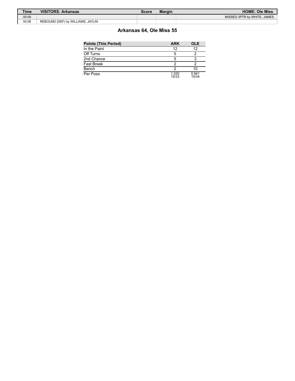| Time  | <b>VISITORS: Arkansas</b>         | Score | <b>Margin</b> | <b>HOME: Ole Miss</b>       |
|-------|-----------------------------------|-------|---------------|-----------------------------|
| 00:09 |                                   |       |               | MISSED 3PTR by WHITE, JAMES |
| 00:06 | REBOUND (DEF) by WILLIAMS, JAYLIN |       |               |                             |

# **Arkansas 64, Ole Miss 55**

| <b>Points (This Period)</b> | <b>ARK</b>     | OLE            |
|-----------------------------|----------------|----------------|
| In the Paint                | 12             | 12             |
| Off Turns                   |                |                |
| 2nd Chance                  |                |                |
| Fast Break                  |                |                |
| Bench                       |                | 10             |
| Per Poss                    | 1.030<br>15/33 | 0.941<br>15/34 |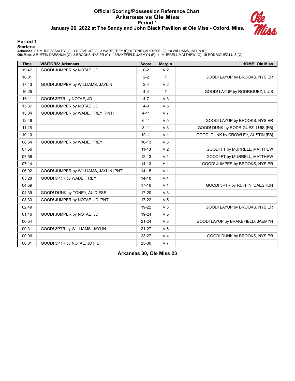# **Official Scoring/Possession Reference Chart Arkansas vs Ole Miss Period 1 January 26, 2022 at The Sandy and John Black Pavilion at Ole Miss - Oxford, Miss.**



#### **Period 1**

**Starters:**

**Arkansas**: 0 UMUDE,STANLEY (G); 1 NOTAE,JD (G); 3 WADE,TREY (F); 5 TONEY,AU'DIESE (G); 10 WILLIAMS,JAYLIN (F);<br>**Ole Miss**: 2 RUFFIN,DAESHUN (G); 3 BROOKS,NYSIER (C); 4 BRAKEFIELD,JAEMYN (F); 11 MURRELL,MATTHEW (G); 15 ROD

| <b>Time</b> | <b>VISITORS: Arkansas</b>              | <b>Score</b> | <b>Margin</b>  | <b>HOME: Ole Miss</b>              |
|-------------|----------------------------------------|--------------|----------------|------------------------------------|
| 19:47       | GOOD! JUMPER by NOTAE, JD              | $0 - 2$      | V <sub>2</sub> |                                    |
| 18:01       |                                        | $2 - 2$      | $\mathsf{T}$   | GOOD! LAYUP by BROOKS, NYSIER      |
| 17:43       | GOOD! JUMPER by WILLIAMS, JAYLIN       | $2 - 4$      | V <sub>2</sub> |                                    |
| 16:25       |                                        | $4 - 4$      | $\mathsf{T}$   | GOOD! LAYUP by RODRIGUEZ, LUIS     |
| 16:11       | GOOD! 3PTR by NOTAE, JD                | $4 - 7$      | V <sub>3</sub> |                                    |
| 15:37       | GOOD! JUMPER by NOTAE, JD              | $4 - 9$      | V <sub>5</sub> |                                    |
| 13:04       | GOOD! JUMPER by WADE, TREY [PNT]       | $4 - 11$     | V <sub>7</sub> |                                    |
| 12:46       |                                        | $6 - 11$     | V <sub>5</sub> | GOOD! LAYUP by BROOKS, NYSIER      |
| 11:25       |                                        | $8 - 11$     | V <sub>3</sub> | GOOD! DUNK by RODRIGUEZ, LUIS [FB] |
| 10:10       |                                        | $10 - 11$    | V <sub>1</sub> | GOOD! DUNK by CROWLEY, AUSTIN [FB] |
| 08:54       | GOOD! JUMPER by WADE, TREY             | $10 - 13$    | $V_3$          |                                    |
| 07:56       |                                        | $11 - 13$    | V <sub>2</sub> | GOOD! FT by MURRELL, MATTHEW       |
| 07:56       |                                        | $12 - 13$    | V <sub>1</sub> | GOOD! FT by MURRELL, MATTHEW       |
| 07:14       |                                        | $14 - 13$    | H <sub>1</sub> | GOOD! JUMPER by BROOKS, NYSIER     |
| 06:02       | GOOD! JUMPER by WILLIAMS, JAYLIN [PNT] | $14 - 15$    | V <sub>1</sub> |                                    |
| 05:28       | GOOD! 3PTR by WADE, TREY               | $14 - 18$    | V <sub>4</sub> |                                    |
| 04:59       |                                        | $17-18$      | V <sub>1</sub> | GOOD! 3PTR by RUFFIN, DAESHUN      |
| 04:39       | GOOD! DUNK by TONEY, AU'DIESE          | $17 - 20$    | V <sub>3</sub> |                                    |
| 03:33       | GOOD! JUMPER by NOTAE, JD [PNT]        | $17 - 22$    | V <sub>5</sub> |                                    |
| 02:49       |                                        | 19-22        | V <sub>3</sub> | GOOD! LAYUP by BROOKS, NYSIER      |
| 01:16       | GOOD! JUMPER by NOTAE, JD              | 19-24        | V <sub>5</sub> |                                    |
| 00:54       |                                        | $21 - 24$    | V <sub>3</sub> | GOOD! LAYUP by BRAKEFIELD, JAEMYN  |
| 00:31       | GOOD! 3PTR by WILLIAMS, JAYLIN         | $21 - 27$    | $V_6$          |                                    |
| 00:06       |                                        | 23-27        | V <sub>4</sub> | GOOD! DUNK by BROOKS, NYSIER       |
| 00:01       | GOOD! 3PTR by NOTAE, JD [FB]           | 23-30        | V <sub>7</sub> |                                    |

**Arkansas 30, Ole Miss 23**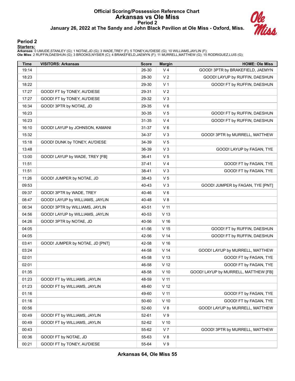# **Official Scoring/Possession Reference Chart Arkansas vs Ole Miss Period 2 January 26, 2022 at The Sandy and John Black Pavilion at Ole Miss - Oxford, Miss.**



#### **Period 2**

#### **Starters:**

**Arkansas**: 0 UMUDE,STANLEY (G); 1 NOTAE,JD (G); 3 WADE,TREY (F); 5 TONEY,AU'DIESE (G); 10 WILLIAMS,JAYLIN (F);<br>**Ole Miss**: 2 RUFFIN,DAESHUN (G); 3 BROOKS,NYSIER (C); 4 BRAKEFIELD,JAEMYN (F); 11 MURRELL,MATTHEW (G); 15 ROD

| <b>Time</b> | <b>VISITORS: Arkansas</b>       | <b>Score</b> | <b>Margin</b>   | <b>HOME: Ole Miss</b>                |
|-------------|---------------------------------|--------------|-----------------|--------------------------------------|
| 19:14       |                                 | 26-30        | V <sub>4</sub>  | GOOD! 3PTR by BRAKEFIELD, JAEMYN     |
| 18:23       |                                 | 28-30        | V <sub>2</sub>  | GOOD! LAYUP by RUFFIN, DAESHUN       |
| 18:22       |                                 | 29-30        | V <sub>1</sub>  | GOOD! FT by RUFFIN, DAESHUN          |
| 17:27       | GOOD! FT by TONEY, AU'DIESE     | 29-31        | V <sub>2</sub>  |                                      |
| 17:27       | GOOD! FT by TONEY, AU'DIESE     | 29-32        | $V_3$           |                                      |
| 16:34       | GOOD! 3PTR by NOTAE, JD         | 29-35        | $V_6$           |                                      |
| 16:23       |                                 | 30-35        | V <sub>5</sub>  | GOOD! FT by RUFFIN, DAESHUN          |
| 16:23       |                                 | 31-35        | V <sub>4</sub>  | GOOD! FT by RUFFIN, DAESHUN          |
| 16:10       | GOOD! LAYUP by JOHNSON, KAMANI  | 31-37        | $V_6$           |                                      |
| 15:32       |                                 | 34-37        | $V_3$           | GOOD! 3PTR by MURRELL, MATTHEW       |
| 15:18       | GOOD! DUNK by TONEY, AU'DIESE   | 34-39        | V <sub>5</sub>  |                                      |
| 13:48       |                                 | 36-39        | $V_3$           | GOOD! LAYUP by FAGAN, TYE            |
| 13:00       | GOOD! LAYUP by WADE, TREY [FB]  | 36-41        | V <sub>5</sub>  |                                      |
| 11:51       |                                 | $37 - 41$    | V <sub>4</sub>  | GOOD! FT by FAGAN, TYE               |
| 11:51       |                                 | 38-41        | V <sub>3</sub>  | GOOD! FT by FAGAN, TYE               |
| 11:26       | GOOD! JUMPER by NOTAE, JD       | 38-43        | V <sub>5</sub>  |                                      |
| 09:53       |                                 | 40-43        | $V_3$           | GOOD! JUMPER by FAGAN, TYE [PNT]     |
| 09:37       | GOOD! 3PTR by WADE, TREY        | 40-46        | $V_6$           |                                      |
| 08:47       | GOOD! LAYUP by WILLIAMS, JAYLIN | 40-48        | V8              |                                      |
| 06:34       | GOOD! 3PTR by WILLIAMS, JAYLIN  | 40-51        | V <sub>11</sub> |                                      |
| 04:56       | GOOD! LAYUP by WILLIAMS, JAYLIN | 40-53        | V <sub>13</sub> |                                      |
| 04:26       | GOOD! 3PTR by NOTAE, JD         | 40-56        | V <sub>16</sub> |                                      |
| 04:05       |                                 | 41-56        | V <sub>15</sub> | GOOD! FT by RUFFIN, DAESHUN          |
| 04:05       |                                 | 42-56        | V <sub>14</sub> | GOOD! FT by RUFFIN, DAESHUN          |
| 03:41       | GOOD! JUMPER by NOTAE, JD [PNT] | 42-58        | V <sub>16</sub> |                                      |
| 03:24       |                                 | 44-58        | V <sub>14</sub> | GOOD! LAYUP by MURRELL, MATTHEW      |
| 02:01       |                                 | 45-58        | V <sub>13</sub> | GOOD! FT by FAGAN, TYE               |
| 02:01       |                                 | 46-58        | V <sub>12</sub> | GOOD! FT by FAGAN, TYE               |
| 01:35       |                                 | 48-58        | $V$ 10          | GOOD! LAYUP by MURRELL, MATTHEW [FB] |
| 01:23       | GOOD! FT by WILLIAMS, JAYLIN    | 48-59        | V <sub>11</sub> |                                      |
| 01:23       | GOOD! FT by WILLIAMS, JAYLIN    | 48-60        | V <sub>12</sub> |                                      |
| 01:16       |                                 | 49-60        | $V$ 11          | GOOD! FT by FAGAN, TYE               |
| 01:16       |                                 | 50-60        | $V$ 10          | GOOD! FT by FAGAN, TYE               |
| 00:56       |                                 | 52-60        | V8              | GOOD! LAYUP by MURRELL, MATTHEW      |
| 00:49       | GOOD! FT by WILLIAMS, JAYLIN    | 52-61        | V <sub>9</sub>  |                                      |
| 00:49       | GOOD! FT by WILLIAMS, JAYLIN    | 52-62        | $V$ 10          |                                      |
| 00:43       |                                 | 55-62        | V <sub>7</sub>  | GOOD! 3PTR by MURRELL, MATTHEW       |
| 00:36       | GOOD! FT by NOTAE, JD           | 55-63        | V8              |                                      |
| 00:21       | GOOD! FT by TONEY, AU'DIESE     | 55-64        | V <sub>9</sub>  |                                      |

**Arkansas 64, Ole Miss 55**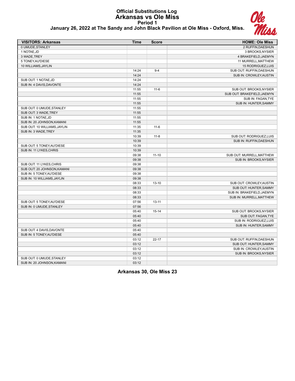## **Official Substitutions Log Arkansas vs Ole Miss Period 1 January 26, 2022 at The Sandy and John Black Pavilion at Ole Miss - Oxford, Miss.**



| <b>VISITORS: Arkansas</b>    | <b>Time</b> | <b>Score</b> | <b>HOME: Ole Miss</b>       |
|------------------------------|-------------|--------------|-----------------------------|
| 0 UMUDE.STANLEY              |             |              | 2 RUFFIN, DAESHUN           |
| 1 NOTAE, JD                  |             |              | 3 BROOKS, NYSIER            |
| 3 WADE, TREY                 |             |              | 4 BRAKEFIELD, JAEMYN        |
| 5 TONEY, AU'DIESE            |             |              | 11 MURRELL, MATTHEW         |
| 10 WILLIAMS, JAYLIN          |             |              | 15 RODRIGUEZ, LUIS          |
|                              | 14:24       | $9 - 4$      | SUB OUT: RUFFIN, DAESHUN    |
|                              | 14:24       |              | SUB IN: CROWLEY, AUSTIN     |
| SUB OUT: 1 NOTAE, JD         | 14:24       |              |                             |
| SUB IN: 4 DAVIS, DAVONTE     | 14:24       |              |                             |
|                              | 11:55       | $11 - 6$     | SUB OUT: BROOKS, NYSIER     |
|                              | 11:55       |              | SUB OUT: BRAKEFIELD, JAEMYN |
|                              | 11:55       |              | SUB IN: FAGAN, TYE          |
|                              | 11:55       |              | SUB IN: HUNTER, SAMMY       |
| SUB OUT: 0 UMUDE, STANLEY    | 11:55       |              |                             |
| SUB OUT: 3 WADE, TREY        | 11:55       |              |                             |
| SUB IN: 1 NOTAE, JD          | 11:55       |              |                             |
| SUB IN: 20 JOHNSON, KAMANI   | 11:55       |              |                             |
| SUB OUT: 10 WILLIAMS, JAYLIN | 11:35       | $11 - 6$     |                             |
| SUB IN: 3 WADE, TREY         | 11:35       |              |                             |
|                              | 10:39       | $11 - 8$     | SUB OUT: RODRIGUEZ, LUIS    |
|                              | 10:39       |              | SUB IN: RUFFIN, DAESHUN     |
| SUB OUT: 5 TONEY, AU'DIESE   | 10:39       |              |                             |
| SUB IN: 11 LYKES, CHRIS      | 10:39       |              |                             |
|                              | 09:38       | $11 - 10$    | SUB OUT: MURRELL, MATTHEW   |
|                              | 09:38       |              | SUB IN: BROOKS, NYSIER      |
| SUB OUT: 11 LYKES, CHRIS     | 09:38       |              |                             |
| SUB OUT: 20 JOHNSON, KAMANI  | 09:38       |              |                             |
| SUB IN: 5 TONEY, AU'DIESE    | 09:38       |              |                             |
| SUB IN: 10 WILLIAMS, JAYLIN  | 09:38       |              |                             |
|                              | 08:33       | $13 - 10$    | SUB OUT: CROWLEY, AUSTIN    |
|                              | 08:33       |              | SUB OUT: HUNTER, SAMMY      |
|                              | 08:33       |              | SUB IN: BRAKEFIELD, JAEMYN  |
|                              | 08:33       |              | SUB IN: MURRELL, MATTHEW    |
| SUB OUT: 5 TONEY.AU'DIESE    | 07:56       | $13 - 11$    |                             |
| SUB IN: 0 UMUDE, STANLEY     | 07:56       |              |                             |
|                              | 05:40       | $15 - 14$    | SUB OUT: BROOKS, NYSIER     |
|                              | 05:40       |              | SUB OUT: FAGAN, TYE         |
|                              | 05:40       |              | SUB IN: RODRIGUEZ, LUIS     |
|                              | 05:40       |              | SUB IN: HUNTER, SAMMY       |
| SUB OUT: 4 DAVIS, DAVONTE    | 05:40       |              |                             |
| SUB IN: 5 TONEY, AU'DIESE    | 05:40       |              |                             |
|                              | 03:12       | $22 - 17$    | SUB OUT: RUFFIN, DAESHUN    |
|                              | 03:12       |              | SUB OUT: HUNTER, SAMMY      |
|                              | 03:12       |              | SUB IN: CROWLEY, AUSTIN     |
|                              | 03:12       |              | SUB IN: BROOKS, NYSIER      |
| SUB OUT: 0 UMUDE, STANLEY    | 03:12       |              |                             |
| SUB IN: 20 JOHNSON, KAMANI   | 03:12       |              |                             |
|                              |             |              |                             |

**Arkansas 30, Ole Miss 23**